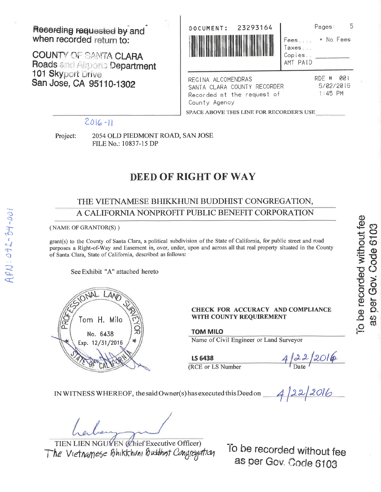Recording requested by and when recorded return to:

**COUNTY OF SANTA CLARA** Roads and Almonto Department 101 Skyport Drive San Jose, CA 95110-1302



|                            | Pages: |           |
|----------------------------|--------|-----------|
| ees……                      |        | * No Fees |
| axes.<br>opies<br>MT PAID) |        |           |
|                            | RDE #  | 90 1      |

REGINA ALCOMENDRAS SANTA CLARA COUNTY RECORDER Recorded at the request of County Agency

5/02/2016  $1:45$  PM

SPACE ABOVE THIS LINE FOR RECORDER'S USE

### $2016 - 11$

Project:

2054 OLD PIEDMONT ROAD, SAN JOSE FILE No.: 10837-15 DP

# **DEED OF RIGHT OF WAY**

## THE VIETNAMESE BHIKKHUNI BUDDHIST CONGREGATION, A CALIFORNIA NONPROFIT PUBLIC BENEFIT CORPORATION

#### (NAME OF GRANTOR(S))

grant(s) to the County of Santa Clara, a political subdivision of the State of California, for public street and road purposes a Right-of-Way and Easement in, over, under, upon and across all that real property situated in the County of Santa Clara, State of California, described as follows:

See Exhibit "A" attached hereto



#### **CHECK FOR ACCURACY AND COMPLIANCE** WITH COUNTY REQUIREMENT

**TOM MILO** 

(RCE or LS Number

**LS 6438** 

Name of Civil Engineer or Land Surveyor

 $4/22/2016$ <br>4/22/2016

IN WITNESS WHEREOF, the said Owner(s) has executed this Deed on

TIEN LIEN NGUYEN (Chief Executive Officer) The Vietnamese Bhikkhuni Butthist Congregation

To be recorded without fee as per Gov. Code 6103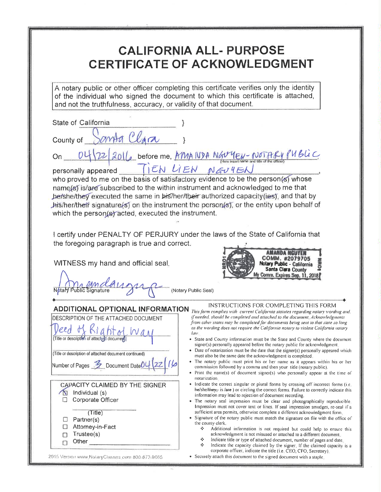# **CALIFORNIA ALL- PURPOSE CERTIFICATE OF ACKNOWLEDGMENT**

A notary public or other officer completing this certificate verifies only the identity<br>of the individual who signed the document to which this certificate is attached,<br>and not the truthfulness, accuracy, or validity of th

| and not the truthfulness, accuracy, or validity of that document.                                                   |                                                                                                                                                                                                                                                                                                                                                                                                                                                                                 |
|---------------------------------------------------------------------------------------------------------------------|---------------------------------------------------------------------------------------------------------------------------------------------------------------------------------------------------------------------------------------------------------------------------------------------------------------------------------------------------------------------------------------------------------------------------------------------------------------------------------|
| State of California                                                                                                 |                                                                                                                                                                                                                                                                                                                                                                                                                                                                                 |
| lara<br>County of                                                                                                   |                                                                                                                                                                                                                                                                                                                                                                                                                                                                                 |
|                                                                                                                     | 16 before me, AMANDA NGUYEN-NOTARY PUBLIC                                                                                                                                                                                                                                                                                                                                                                                                                                       |
| personally appeared                                                                                                 | TEN LIEN NEUYER                                                                                                                                                                                                                                                                                                                                                                                                                                                                 |
| which the person(s) acted, executed the instrument.                                                                 | who proved to me on the basis of satisfactory evidence to be the person(s) whose<br>name(s) is/are subscribed to the within instrument and acknowledged to me that<br>hershelthey executed the same in his/her/their authorized capacity (ies), and that by<br>his/her/their signature(s) on the instrument the person(s), or the entity upon behalf of                                                                                                                         |
|                                                                                                                     |                                                                                                                                                                                                                                                                                                                                                                                                                                                                                 |
| the foregoing paragraph is true and correct.<br>WITNESS my hand and official seal.                                  | I certify under PENALTY OF PERJURY under the laws of the State of California that<br>COMM. #2079705<br>Notary Public - California<br>Santa Clara County<br>My Comm. Expires Sep. 11, 2018                                                                                                                                                                                                                                                                                       |
|                                                                                                                     | (Notary Public Seal)                                                                                                                                                                                                                                                                                                                                                                                                                                                            |
| ADDITIONAL OPTIONAL INFORMATION<br>DESCRIPTION OF THE ATTACHED DOCUMENT<br>(Title or description of attached docume | INSTRUCTIONS FOR COMPLETING THIS FORM<br>This form complies with current California statutes regarding notary wording and,<br>if needed, should be completed and attached to the document. Acknowledgments<br>from other states may be completed for documents being sent to that state so long<br>as the wording does not require the California notary to violate California notary<br>law.<br>• State and County information must be the State and County where the document |
| (Title or description of attached document continued)                                                               | signer(s) personally appeared before the notary public for acknowledgment.<br>• Date of notarization must be the date that the signer(s) personally appeared which<br>must also be the same date the acknowledgment is completed.<br>• The notary public must print his or her name as it appears within his or her                                                                                                                                                             |
| Number of Pages 2 Document Date                                                                                     | commission followed by a comma and then your title (notary public).<br>• Print the name(s) of document signer(s) who personally appear at the time of<br>notarization.                                                                                                                                                                                                                                                                                                          |
| CAPACITY CLAIMED BY THE SIGNER<br>N<br>Individual (s)<br>Corporate Officer<br>IJ                                    | • Indicate the correct singular or plural forms by crossing off incorrect forms (i.e.<br>he/she/they, is /are ) or circling the correct forms. Failure to correctly indicate this<br>information may lead to rejection of document recording.<br>• The notary seal impression must be clear and photographically reproducible.                                                                                                                                                  |
| (Title)                                                                                                             | Impression must not cover text or lines. If seal impression smudges, re-seal if a<br>sufficient area permits, otherwise complete a different acknowledgment form.<br>· Signature of the notary public must match the signature on file with the office of                                                                                                                                                                                                                       |
| Partner(s)<br>⊔<br>Attorney-in-Fact<br>⊔                                                                            | the county clerk.<br>⊹<br>Additional information is not required but could help to ensure this                                                                                                                                                                                                                                                                                                                                                                                  |
| Trustee(s)<br>$\Box$<br>Other $\_$<br>П                                                                             | acknowledgment is not misused or attached to a different document.<br>❖<br>Indicate title or type of attached document, number of pages and date.<br>⊹<br>Indicate the capacity claimed by the signer. If the claimed capacity is a                                                                                                                                                                                                                                             |
| 2015 Version www.NotaryClasses.com 800-873-9885                                                                     | corporate officer, indicate the title (i.e. CEO, CFO, Secretary).<br>• Securely attach this document to the signed document with a staple.                                                                                                                                                                                                                                                                                                                                      |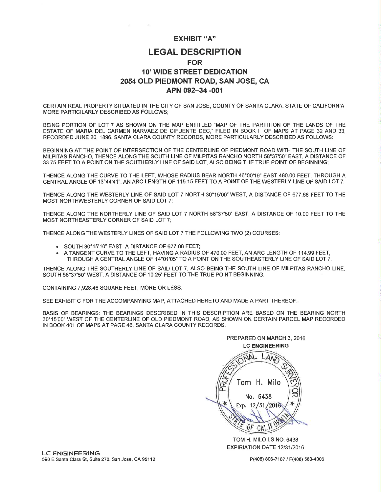#### EXHIBIT "A''

## LEGAL DESCRIPTION FOR 1O' WIDE STREET DEDICATION 2054 OLD PIEDMONT ROAD, SAN JOSE, CA APN 092-34 -001

CERTAIN REAL PROPERTY SITUATED IN THE CITY OF SAN JOSE, COUNTY OF SANTA CLARA, STATE OF CALIFORNIA, MORE PARTICILARLY DESCRIBED AS FOLLOWS;

BEING PORTION OF LOT 7 AS SHOWN ON THE MAP ENTITLED "MAP OF THE PARTITION OF THE LANDS OF THE ESTATE OF MARIA DEL CARMEN NARVAEZ DE CIFUENTE DEC,' FILED IN BOOK I OF MAPS AT PAGE 32 AND 33, RECORDED JUNE 20, 1896, SANTA CLARA COUNTY RECORDS, MORE PARTICULARLY DESCRIBED AS FOLLOWS:

BEGINNING AT THE POINT OF INTERSECTION OF THE CENTERLINE OF PIEDMONT ROAD WITH THE SOUTH LINE OF MILPITAS RANCHO, THENCE ALONG THE SOUTH LINE OF MILPITAS RANCHO NORTH 58'37'50'EAST, A DISTANCE OF 33.75 FEET TO A POINT ON THE SOUTHERLY LINE OF SAID LOT, ALSO BEING THE TRUE POINT OF BEGINNING;

THENCE ALONG THE CURVE TO THE LEFT, WHOSE RADIUS BEAR NORTH 46"00'19' EAST 48O.OO FEET, THROUGH A CENTRAL ANGLE OF 13"44'41", AN ARC LENGTH OF 115.15 FEET TO A POINT OF THE WESTERLY LINE OF SAID LOT 7;

THENCE ALONG THE WESTERLY LINE OF SAID LOT 7 NORTH 3O'15'OO" WEST, A DISTANCE OF 677.68 FEET TO THE MOST NORTHWESTERLY CORNER OF SAID LOT 7;

THENCE ALONG THE NORTHERLY LINE OF SAID LOT 7 NORTH 58'37'50' EAST, A DISTANCE OF 1O.OO FEET TO THE MOST NORTHEASTERLY CORNER OF SAID LOT 7;

THENCE ALONG THE WESTERLY LINES OF SAID LOT 7 THE FOLLOWING TWO (2) COURSES:

- . SOUTH 30'15'10' EAST, A DISTANCE OF 677.88 FEET;
- . <sup>A</sup>TANGENT CURVE TO THE LEFT, HAVING A RADIUS OF 470.00 FEET, AN ARC LENGTH OF 114.99 FEET, THROUGH A CENTRAL ANGLE OF 14'01'05'TO A POINT ON THE SOUTHEASTERLY LINE OF SAID LOT 7.

THENCE ALONG THE SOUTHERLY LINE OF SAID LOT 7, ALSO BEING THE SOUTH LINE OF MILPITAS RANCHO LINE, SOUTH 58'37'50" WEST, A DISTANCE OF 10.25' FEET TO THE TRUE POINT BEGINNING.

CONTAINING 7,928.46 SQUARE FEET, MORE OR LESS.

SEE EXHIBIT C FOR THE ACCOMPANYING MAP, ATTACHED HERETO AND MADE A PART THEREOF

BASIS OF BEARINGS: THE BEARINGS DESCRIBED IN THIS DESCRIPTION ARE BASED ON THE BEARING NORTH 3O'15'OO" WEST OF THE CENTERLINE OF OLD PIEDMONT ROAD, AS SHOWN ON CERTAIN PARCEL MAP RECORDED IN BOOK 401 OF MAPS AT PAGE 46, SANTA CLARA COUNTY RECORDS.



TOM H. MILO LS NO.6438 EXPIRIATION DATE 12/31/2016

P(408) 806-7187 / F(408) 583-4006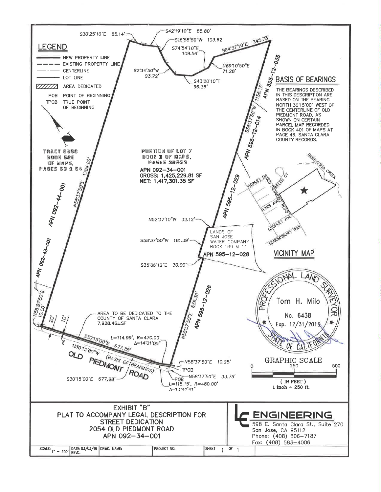